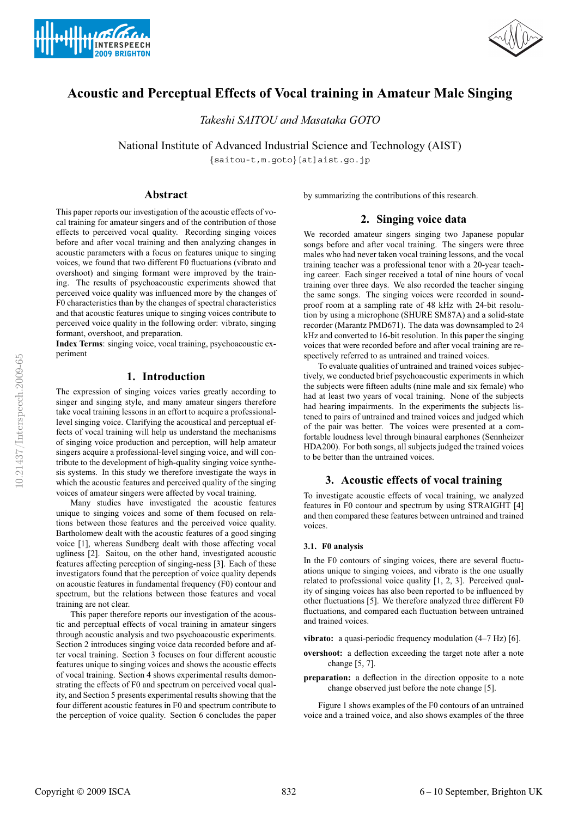



# **Acoustic and Perceptual Effects of Vocal training in Amateur Male Singing**

*Takeshi SAITOU and Masataka GOTO*

National Institute of Advanced Industrial Science and Technology (AIST) {saitou-t,m.goto}[at]aist.go.jp

# **Abstract**

This paper reports our investigation of the acoustic effects of vocal training for amateur singers and of the contribution of those effects to perceived vocal quality. Recording singing voices before and after vocal training and then analyzing changes in acoustic parameters with a focus on features unique to singing voices, we found that two different F0 fluctuations (vibrato and overshoot) and singing formant were improved by the training. The results of psychoacoustic experiments showed that perceived voice quality was influenced more by the changes of F0 characteristics than by the changes of spectral characteristics and that acoustic features unique to singing voices contribute to perceived voice quality in the following order: vibrato, singing formant, overshoot, and preparation.

**Index Terms**: singing voice, vocal training, psychoacoustic experiment

# **1. Introduction**

The expression of singing voices varies greatly according to singer and singing style, and many amateur singers therefore take vocal training lessons in an effort to acquire a professionallevel singing voice. Clarifying the acoustical and perceptual effects of vocal training will help us understand the mechanisms of singing voice production and perception, will help amateur singers acquire a professional-level singing voice, and will contribute to the development of high-quality singing voice synthesis systems. In this study we therefore investigate the ways in which the acoustic features and perceived quality of the singing voices of amateur singers were affected by vocal training.

Many studies have investigated the acoustic features unique to singing voices and some of them focused on relations between those features and the perceived voice quality. Bartholomew dealt with the acoustic features of a good singing voice [1], whereas Sundberg dealt with those affecting vocal ugliness [2]. Saitou, on the other hand, investigated acoustic features affecting perception of singing-ness [3]. Each of these investigators found that the perception of voice quality depends on acoustic features in fundamental frequency (F0) contour and spectrum, but the relations between those features and vocal training are not clear.

This paper therefore reports our investigation of the acoustic and perceptual effects of vocal training in amateur singers through acoustic analysis and two psychoacoustic experiments. Section 2 introduces singing voice data recorded before and after vocal training. Section 3 focuses on four different acoustic features unique to singing voices and shows the acoustic effects of vocal training. Section 4 shows experimental results demonstrating the effects of F0 and spectrum on perceived vocal quality, and Section 5 presents experimental results showing that the four different acoustic features in F0 and spectrum contribute to the perception of voice quality. Section 6 concludes the paper by summarizing the contributions of this research.

# **2. Singing voice data**

We recorded amateur singers singing two Japanese popular songs before and after vocal training. The singers were three males who had never taken vocal training lessons, and the vocal training teacher was a professional tenor with a 20-year teaching career. Each singer received a total of nine hours of vocal training over three days. We also recorded the teacher singing the same songs. The singing voices were recorded in soundproof room at a sampling rate of 48 kHz with 24-bit resolution by using a microphone (SHURE SM87A) and a solid-state recorder (Marantz PMD671). The data was downsampled to 24 kHz and converted to 16-bit resolution. In this paper the singing voices that were recorded before and after vocal training are respectively referred to as untrained and trained voices.

To evaluate qualities of untrained and trained voices subjectively, we conducted brief psychoacoustic experiments in which the subjects were fifteen adults (nine male and six female) who had at least two years of vocal training. None of the subjects had hearing impairments. In the experiments the subjects listened to pairs of untrained and trained voices and judged which of the pair was better. The voices were presented at a comfortable loudness level through binaural earphones (Sennheizer HDA200). For both songs, all subjects judged the trained voices to be better than the untrained voices.

# **3. Acoustic effects of vocal training**

To investigate acoustic effects of vocal training, we analyzed features in F0 contour and spectrum by using STRAIGHT [4] and then compared these features between untrained and trained voices.

#### **3.1. F0 analysis**

In the F0 contours of singing voices, there are several fluctuations unique to singing voices, and vibrato is the one usually related to professional voice quality [1, 2, 3]. Perceived quality of singing voices has also been reported to be influenced by other fluctuations [5]. We therefore analyzed three different F0 fluctuations, and compared each fluctuation between untrained and trained voices.

**vibrato:** a quasi-periodic frequency modulation (4–7 Hz) [6].

- **overshoot:** a deflection exceeding the target note after a note change [5, 7].
- **preparation:** a deflection in the direction opposite to a note change observed just before the note change [5].

Figure 1 shows examples of the F0 contours of an untrained voice and a trained voice, and also shows examples of the three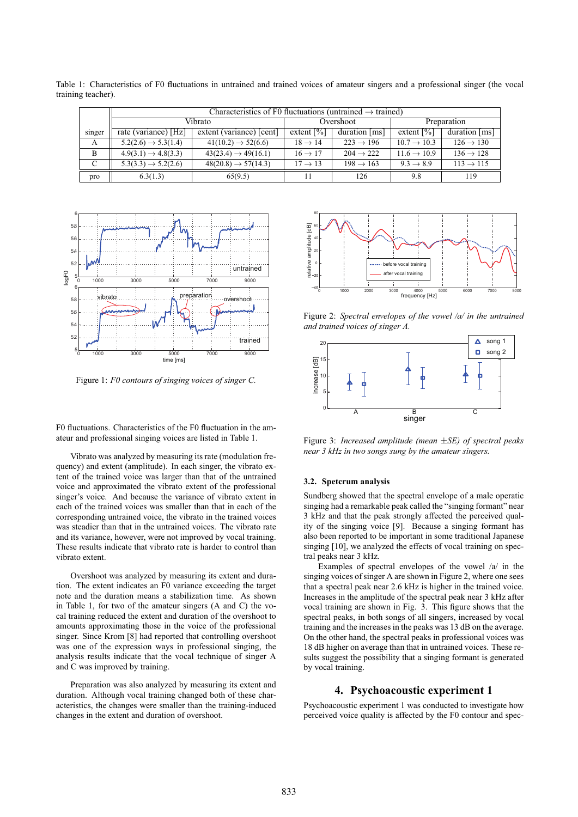|        | Characteristics of F0 fluctuations (untrained $\rightarrow$ trained) |                                 |                          |                       |                          |                       |
|--------|----------------------------------------------------------------------|---------------------------------|--------------------------|-----------------------|--------------------------|-----------------------|
|        | Vibrato                                                              |                                 | Overshoot                |                       | Preparation              |                       |
| singer | rate (variance) [Hz]                                                 | extent (variance) [cent]        | extent $\lceil\% \rceil$ | duration [ms]         | extent $\lceil\% \rceil$ | duration [ms]         |
| A      | $5.2(2.6) \rightarrow 5.3(1.4)$                                      | $41(10.2) \rightarrow 52(6.6)$  | $18 \rightarrow 14$      | $223 \rightarrow 196$ | $10.7 \rightarrow 10.3$  | $126 \rightarrow 130$ |
| B      | $4.9(3.1) \rightarrow 4.8(3.3)$                                      | $43(23.4) \rightarrow 49(16.1)$ | $16 \rightarrow 17$      | $204 \rightarrow 222$ | $11.6 \rightarrow 10.9$  | $136 \rightarrow 128$ |
| C      | $5.3(3.3) \rightarrow 5.2(2.6)$                                      | $48(20.8) \rightarrow 57(14.3)$ | $17 \rightarrow 13$      | $198 \rightarrow 163$ | $9.3 \rightarrow 8.9$    | $113 \rightarrow 115$ |
| pro    | 6.3(1.3)                                                             | 65(9.5)                         |                          | 126                   | 9.8                      | 119                   |

Table 1: Characteristics of F0 fluctuations in untrained and trained voices of amateur singers and a professional singer (the vocal training teacher).



Figure 1: *F0 contours of singing voices of singer C.*

F0 fluctuations. Characteristics of the F0 fluctuation in the amateur and professional singing voices are listed in Table 1.

Vibrato was analyzed by measuring its rate (modulation frequency) and extent (amplitude). In each singer, the vibrato extent of the trained voice was larger than that of the untrained voice and approximated the vibrato extent of the professional singer's voice. And because the variance of vibrato extent in each of the trained voices was smaller than that in each of the corresponding untrained voice, the vibrato in the trained voices was steadier than that in the untrained voices. The vibrato rate and its variance, however, were not improved by vocal training. These results indicate that vibrato rate is harder to control than vibrato extent.

Overshoot was analyzed by measuring its extent and duration. The extent indicates an F0 variance exceeding the target note and the duration means a stabilization time. As shown in Table 1, for two of the amateur singers (A and C) the vocal training reduced the extent and duration of the overshoot to amounts approximating those in the voice of the professional singer. Since Krom [8] had reported that controlling overshoot was one of the expression ways in professional singing, the analysis results indicate that the vocal technique of singer A and C was improved by training.

Preparation was also analyzed by measuring its extent and duration. Although vocal training changed both of these characteristics, the changes were smaller than the training-induced changes in the extent and duration of overshoot.



Figure 2: *Spectral envelopes of the vowel /a/ in the untrained and trained voices of singer A.*



Figure 3: *Increased amplitude (mean* ±*SE) of spectral peaks near 3 kHz in two songs sung by the amateur singers.*

#### **3.2. Spetcrum analysis**

Sundberg showed that the spectral envelope of a male operatic singing had a remarkable peak called the "singing formant" near 3 kHz and that the peak strongly affected the perceived quality of the singing voice [9]. Because a singing formant has also been reported to be important in some traditional Japanese singing [10], we analyzed the effects of vocal training on spectral peaks near 3 kHz.

Examples of spectral envelopes of the vowel /a/ in the singing voices of singer A are shown in Figure 2, where one sees that a spectral peak near 2.6 kHz is higher in the trained voice. Increases in the amplitude of the spectral peak near 3 kHz after vocal training are shown in Fig. 3. This figure shows that the spectral peaks, in both songs of all singers, increased by vocal training and the increases in the peaks was 13 dB on the average. On the other hand, the spectral peaks in professional voices was 18 dB higher on average than that in untrained voices. These results suggest the possibility that a singing formant is generated by vocal training.

### **4. Psychoacoustic experiment 1**

Psychoacoustic experiment 1 was conducted to investigate how perceived voice quality is affected by the F0 contour and spec-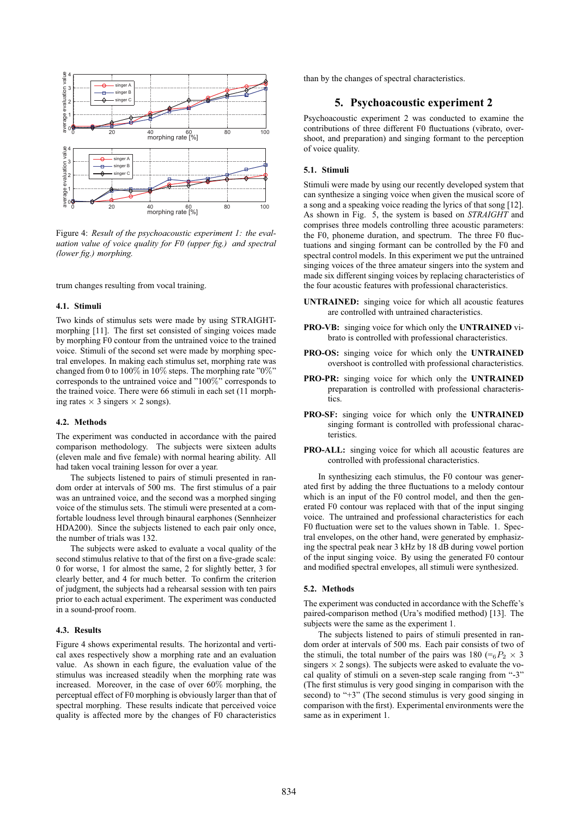

Figure 4: *Result of the psychoacoustic experiment 1: the evaluation value of voice quality for F0 (upper fig.) and spectral (lower fig.) morphing.*

trum changes resulting from vocal training.

#### **4.1. Stimuli**

Two kinds of stimulus sets were made by using STRAIGHTmorphing [11]. The first set consisted of singing voices made by morphing F0 contour from the untrained voice to the trained voice. Stimuli of the second set were made by morphing spectral envelopes. In making each stimulus set, morphing rate was changed from 0 to 100% in 10% steps. The morphing rate "0%" corresponds to the untrained voice and "100%" corresponds to the trained voice. There were 66 stimuli in each set (11 morphing rates  $\times$  3 singers  $\times$  2 songs).

#### **4.2. Methods**

The experiment was conducted in accordance with the paired comparison methodology. The subjects were sixteen adults (eleven male and five female) with normal hearing ability. All had taken vocal training lesson for over a year.

The subjects listened to pairs of stimuli presented in random order at intervals of 500 ms. The first stimulus of a pair was an untrained voice, and the second was a morphed singing voice of the stimulus sets. The stimuli were presented at a comfortable loudness level through binaural earphones (Sennheizer HDA200). Since the subjects listened to each pair only once, the number of trials was 132.

The subjects were asked to evaluate a vocal quality of the second stimulus relative to that of the first on a five-grade scale: 0 for worse, 1 for almost the same, 2 for slightly better, 3 for clearly better, and 4 for much better. To confirm the criterion of judgment, the subjects had a rehearsal session with ten pairs prior to each actual experiment. The experiment was conducted in a sound-proof room.

# **4.3. Results**

Figure 4 shows experimental results. The horizontal and vertical axes respectively show a morphing rate and an evaluation value. As shown in each figure, the evaluation value of the stimulus was increased steadily when the morphing rate was increased. Moreover, in the case of over 60% morphing, the perceptual effect of F0 morphing is obviously larger than that of spectral morphing. These results indicate that perceived voice quality is affected more by the changes of F0 characteristics than by the changes of spectral characteristics.

### **5. Psychoacoustic experiment 2**

Psychoacoustic experiment 2 was conducted to examine the contributions of three different F0 fluctuations (vibrato, overshoot, and preparation) and singing formant to the perception of voice quality.

#### **5.1. Stimuli**

Stimuli were made by using our recently developed system that can synthesize a singing voice when given the musical score of a song and a speaking voice reading the lyrics of that song [12]. As shown in Fig. 5, the system is based on *STRAIGHT* and comprises three models controlling three acoustic parameters: the F0, phoneme duration, and spectrum. The three F0 fluctuations and singing formant can be controlled by the F0 and spectral control models. In this experiment we put the untrained singing voices of the three amateur singers into the system and made six different singing voices by replacing characteristics of the four acoustic features with professional characteristics.

- **UNTRAINED:** singing voice for which all acoustic features are controlled with untrained characteristics.
- **PRO-VB:** singing voice for which only the **UNTRAINED** vibrato is controlled with professional characteristics.
- **PRO-OS:** singing voice for which only the **UNTRAINED** overshoot is controlled with professional characteristics.
- **PRO-PR:** singing voice for which only the **UNTRAINED** preparation is controlled with professional characteristics.
- **PRO-SF:** singing voice for which only the **UNTRAINED** singing formant is controlled with professional characteristics.
- **PRO-ALL:** singing voice for which all acoustic features are controlled with professional characteristics.

In synthesizing each stimulus, the F0 contour was generated first by adding the three fluctuations to a melody contour which is an input of the F0 control model, and then the generated F0 contour was replaced with that of the input singing voice. The untrained and professional characteristics for each F0 fluctuation were set to the values shown in Table. 1. Spectral envelopes, on the other hand, were generated by emphasizing the spectral peak near 3 kHz by 18 dB during vowel portion of the input singing voice. By using the generated F0 contour and modified spectral envelopes, all stimuli were synthesized.

#### **5.2. Methods**

The experiment was conducted in accordance with the Scheffe's paired-comparison method (Ura's modified method) [13]. The subjects were the same as the experiment 1.

The subjects listened to pairs of stimuli presented in random order at intervals of 500 ms. Each pair consists of two of the stimuli, the total number of the pairs was 180 ( $\epsilon_6P_2 \times 3$ ) singers  $\times$  2 songs). The subjects were asked to evaluate the vocal quality of stimuli on a seven-step scale ranging from "-3" (The first stimulus is very good singing in comparison with the second) to "+3" (The second stimulus is very good singing in comparison with the first). Experimental environments were the same as in experiment 1.